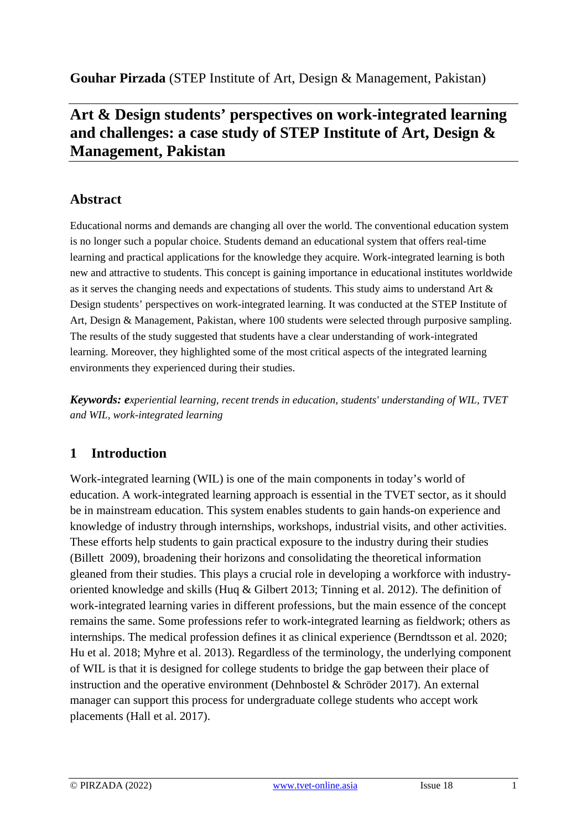**Gouhar Pirzada** (STEP Institute of Art, Design & Management, Pakistan)

# **Art & Design students' perspectives on work-integrated learning and challenges: a case study of STEP Institute of Art, Design & Management, Pakistan**

# **Abstract**

Educational norms and demands are changing all over the world. The conventional education system is no longer such a popular choice. Students demand an educational system that offers real-time learning and practical applications for the knowledge they acquire. Work-integrated learning is both new and attractive to students. This concept is gaining importance in educational institutes worldwide as it serves the changing needs and expectations of students. This study aims to understand Art & Design students' perspectives on work-integrated learning. It was conducted at the STEP Institute of Art, Design & Management, Pakistan, where 100 students were selected through purposive sampling. The results of the study suggested that students have a clear understanding of work-integrated learning. Moreover, they highlighted some of the most critical aspects of the integrated learning environments they experienced during their studies.

*Keywords: experiential learning, recent trends in education, students' understanding of WIL, TVET and WIL, work-integrated learning*

# **1 Introduction**

Work-integrated learning (WIL) is one of the main components in today's world of education. A work-integrated learning approach is essential in the TVET sector, as it should be in mainstream education. This system enables students to gain hands-on experience and knowledge of industry through internships, workshops, industrial visits, and other activities. These efforts help students to gain practical exposure to the industry during their studies (Billett 2009), broadening their horizons and consolidating the theoretical information gleaned from their studies. This plays a crucial role in developing a workforce with industryoriented knowledge and skills (Huq & Gilbert 2013; Tinning et al. 2012). The definition of work-integrated learning varies in different professions, but the main essence of the concept remains the same. Some professions refer to work-integrated learning as fieldwork; others as internships. The medical profession defines it as clinical experience (Berndtsson et al. 2020; Hu et al. 2018; Myhre et al. 2013). Regardless of the terminology, the underlying component of WIL is that it is designed for college students to bridge the gap between their place of instruction and the operative environment (Dehnbostel & Schröder 2017). An external manager can support this process for undergraduate college students who accept work placements (Hall et al. 2017).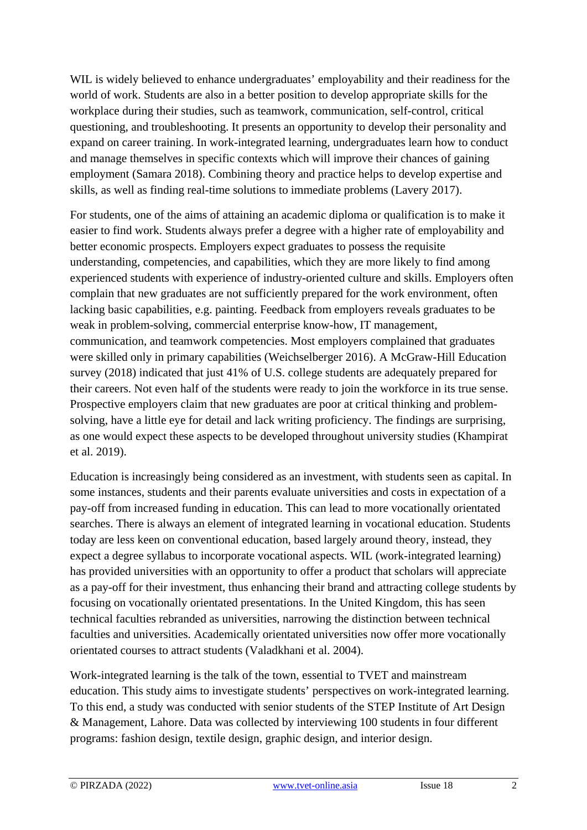WIL is widely believed to enhance undergraduates' employability and their readiness for the world of work. Students are also in a better position to develop appropriate skills for the workplace during their studies, such as teamwork, communication, self-control, critical questioning, and troubleshooting. It presents an opportunity to develop their personality and expand on career training. In work-integrated learning, undergraduates learn how to conduct and manage themselves in specific contexts which will improve their chances of gaining employment (Samara 2018). Combining theory and practice helps to develop expertise and skills, as well as finding real-time solutions to immediate problems (Lavery 2017).

For students, one of the aims of attaining an academic diploma or qualification is to make it easier to find work. Students always prefer a degree with a higher rate of employability and better economic prospects. Employers expect graduates to possess the requisite understanding, competencies, and capabilities, which they are more likely to find among experienced students with experience of industry-oriented culture and skills. Employers often complain that new graduates are not sufficiently prepared for the work environment, often lacking basic capabilities, e.g. painting. Feedback from employers reveals graduates to be weak in problem-solving, commercial enterprise know-how, IT management, communication, and teamwork competencies. Most employers complained that graduates were skilled only in primary capabilities (Weichselberger 2016). A McGraw-Hill Education survey (2018) indicated that just 41% of U.S. college students are adequately prepared for their careers. Not even half of the students were ready to join the workforce in its true sense. Prospective employers claim that new graduates are poor at critical thinking and problemsolving, have a little eye for detail and lack writing proficiency. The findings are surprising, as one would expect these aspects to be developed throughout university studies (Khampirat et al. 2019).

Education is increasingly being considered as an investment, with students seen as capital. In some instances, students and their parents evaluate universities and costs in expectation of a pay-off from increased funding in education. This can lead to more vocationally orientated searches. There is always an element of integrated learning in vocational education. Students today are less keen on conventional education, based largely around theory, instead, they expect a degree syllabus to incorporate vocational aspects. WIL (work-integrated learning) has provided universities with an opportunity to offer a product that scholars will appreciate as a pay-off for their investment, thus enhancing their brand and attracting college students by focusing on vocationally orientated presentations. In the United Kingdom, this has seen technical faculties rebranded as universities, narrowing the distinction between technical faculties and universities. Academically orientated universities now offer more vocationally orientated courses to attract students (Valadkhani et al. 2004).

Work-integrated learning is the talk of the town, essential to TVET and mainstream education. This study aims to investigate students' perspectives on work-integrated learning. To this end, a study was conducted with senior students of the STEP Institute of Art Design & Management, Lahore. Data was collected by interviewing 100 students in four different programs: fashion design, textile design, graphic design, and interior design.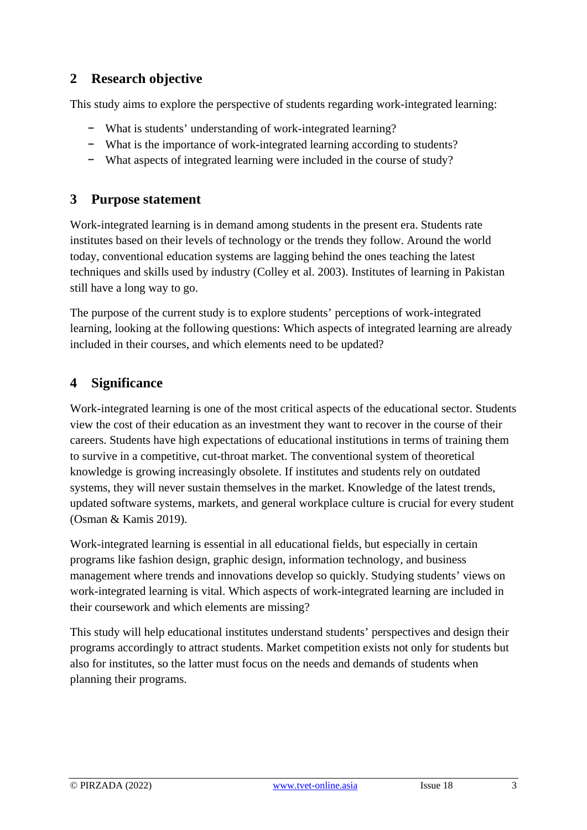## **2 Research objective**

This study aims to explore the perspective of students regarding work-integrated learning:

- − What is students' understanding of work-integrated learning?
- − What is the importance of work-integrated learning according to students?
- − What aspects of integrated learning were included in the course of study?

### **3 Purpose statement**

Work-integrated learning is in demand among students in the present era. Students rate institutes based on their levels of technology or the trends they follow. Around the world today, conventional education systems are lagging behind the ones teaching the latest techniques and skills used by industry (Colley et al. 2003). Institutes of learning in Pakistan still have a long way to go.

The purpose of the current study is to explore students' perceptions of work-integrated learning, looking at the following questions: Which aspects of integrated learning are already included in their courses, and which elements need to be updated?

## **4 Significance**

Work-integrated learning is one of the most critical aspects of the educational sector. Students view the cost of their education as an investment they want to recover in the course of their careers. Students have high expectations of educational institutions in terms of training them to survive in a competitive, cut-throat market. The conventional system of theoretical knowledge is growing increasingly obsolete. If institutes and students rely on outdated systems, they will never sustain themselves in the market. Knowledge of the latest trends, updated software systems, markets, and general workplace culture is crucial for every student (Osman & Kamis 2019).

Work-integrated learning is essential in all educational fields, but especially in certain programs like fashion design, graphic design, information technology, and business management where trends and innovations develop so quickly. Studying students' views on work-integrated learning is vital. Which aspects of work-integrated learning are included in their coursework and which elements are missing?

This study will help educational institutes understand students' perspectives and design their programs accordingly to attract students. Market competition exists not only for students but also for institutes, so the latter must focus on the needs and demands of students when planning their programs.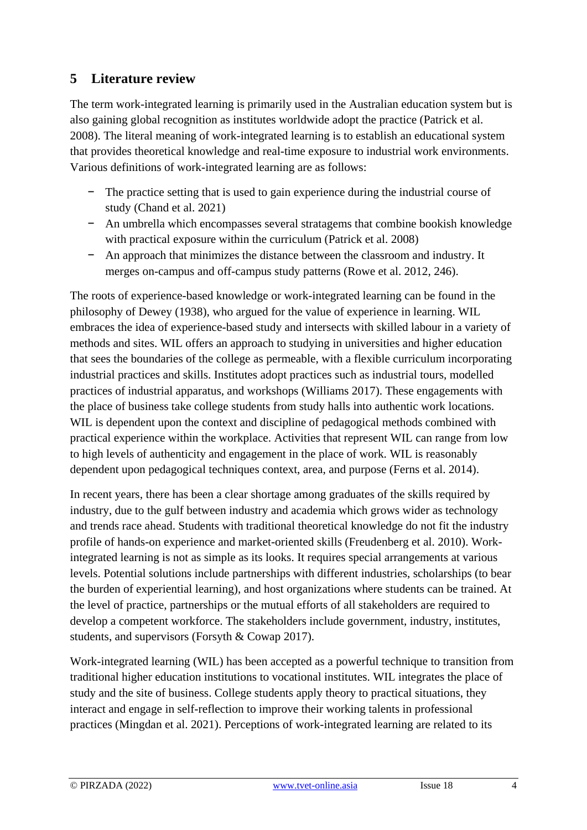## **5 Literature review**

The term work-integrated learning is primarily used in the Australian education system but is also gaining global recognition as institutes worldwide adopt the practice (Patrick et al. 2008). The literal meaning of work-integrated learning is to establish an educational system that provides theoretical knowledge and real-time exposure to industrial work environments. Various definitions of work-integrated learning are as follows:

- − The practice setting that is used to gain experience during the industrial course of study (Chand et al. 2021)
- − An umbrella which encompasses several stratagems that combine bookish knowledge with practical exposure within the curriculum (Patrick et al. 2008)
- − An approach that minimizes the distance between the classroom and industry. It merges on-campus and off-campus study patterns (Rowe et al. 2012, 246).

The roots of experience-based knowledge or work-integrated learning can be found in the philosophy of Dewey (1938), who argued for the value of experience in learning. WIL embraces the idea of experience-based study and intersects with skilled labour in a variety of methods and sites. WIL offers an approach to studying in universities and higher education that sees the boundaries of the college as permeable, with a flexible curriculum incorporating industrial practices and skills. Institutes adopt practices such as industrial tours, modelled practices of industrial apparatus, and workshops (Williams 2017). These engagements with the place of business take college students from study halls into authentic work locations. WIL is dependent upon the context and discipline of pedagogical methods combined with practical experience within the workplace. Activities that represent WIL can range from low to high levels of authenticity and engagement in the place of work. WIL is reasonably dependent upon pedagogical techniques context, area, and purpose (Ferns et al. 2014).

In recent years, there has been a clear shortage among graduates of the skills required by industry, due to the gulf between industry and academia which grows wider as technology and trends race ahead. Students with traditional theoretical knowledge do not fit the industry profile of hands-on experience and market-oriented skills (Freudenberg et al. 2010). Workintegrated learning is not as simple as its looks. It requires special arrangements at various levels. Potential solutions include partnerships with different industries, scholarships (to bear the burden of experiential learning), and host organizations where students can be trained. At the level of practice, partnerships or the mutual efforts of all stakeholders are required to develop a competent workforce. The stakeholders include government, industry, institutes, students, and supervisors (Forsyth & Cowap 2017).

Work-integrated learning (WIL) has been accepted as a powerful technique to transition from traditional higher education institutions to vocational institutes. WIL integrates the place of study and the site of business. College students apply theory to practical situations, they interact and engage in self-reflection to improve their working talents in professional practices (Mingdan et al. 2021). Perceptions of work-integrated learning are related to its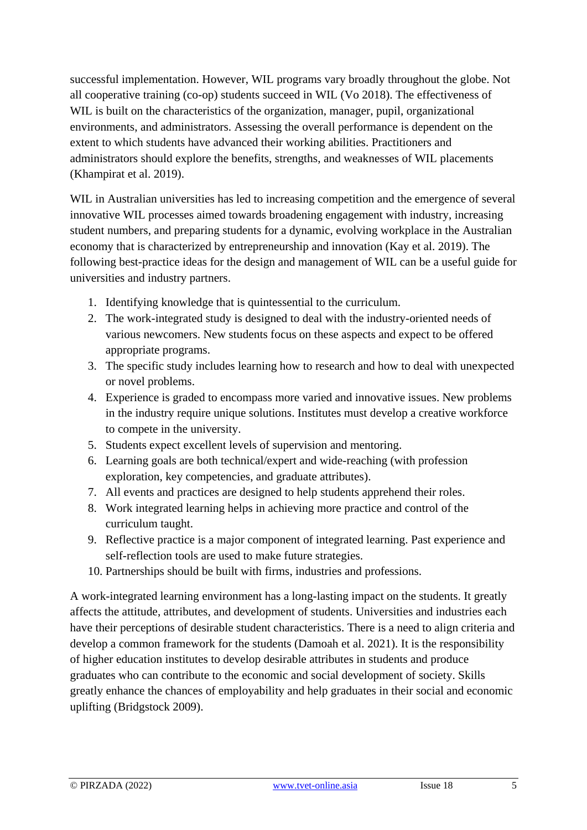successful implementation. However, WIL programs vary broadly throughout the globe. Not all cooperative training (co-op) students succeed in WIL (Vo 2018). The effectiveness of WIL is built on the characteristics of the organization, manager, pupil, organizational environments, and administrators. Assessing the overall performance is dependent on the extent to which students have advanced their working abilities. Practitioners and administrators should explore the benefits, strengths, and weaknesses of WIL placements (Khampirat et al. 2019).

WIL in Australian universities has led to increasing competition and the emergence of several innovative WIL processes aimed towards broadening engagement with industry, increasing student numbers, and preparing students for a dynamic, evolving workplace in the Australian economy that is characterized by entrepreneurship and innovation (Kay et al. 2019). The following best-practice ideas for the design and management of WIL can be a useful guide for universities and industry partners.

- 1. Identifying knowledge that is quintessential to the curriculum.
- 2. The work-integrated study is designed to deal with the industry-oriented needs of various newcomers. New students focus on these aspects and expect to be offered appropriate programs.
- 3. The specific study includes learning how to research and how to deal with unexpected or novel problems.
- 4. Experience is graded to encompass more varied and innovative issues. New problems in the industry require unique solutions. Institutes must develop a creative workforce to compete in the university.
- 5. Students expect excellent levels of supervision and mentoring.
- 6. Learning goals are both technical/expert and wide-reaching (with profession exploration, key competencies, and graduate attributes).
- 7. All events and practices are designed to help students apprehend their roles.
- 8. Work integrated learning helps in achieving more practice and control of the curriculum taught.
- 9. Reflective practice is a major component of integrated learning. Past experience and self-reflection tools are used to make future strategies.
- 10. Partnerships should be built with firms, industries and professions.

A work-integrated learning environment has a long-lasting impact on the students. It greatly affects the attitude, attributes, and development of students. Universities and industries each have their perceptions of desirable student characteristics. There is a need to align criteria and develop a common framework for the students (Damoah et al. 2021). It is the responsibility of higher education institutes to develop desirable attributes in students and produce graduates who can contribute to the economic and social development of society. Skills greatly enhance the chances of employability and help graduates in their social and economic uplifting (Bridgstock 2009).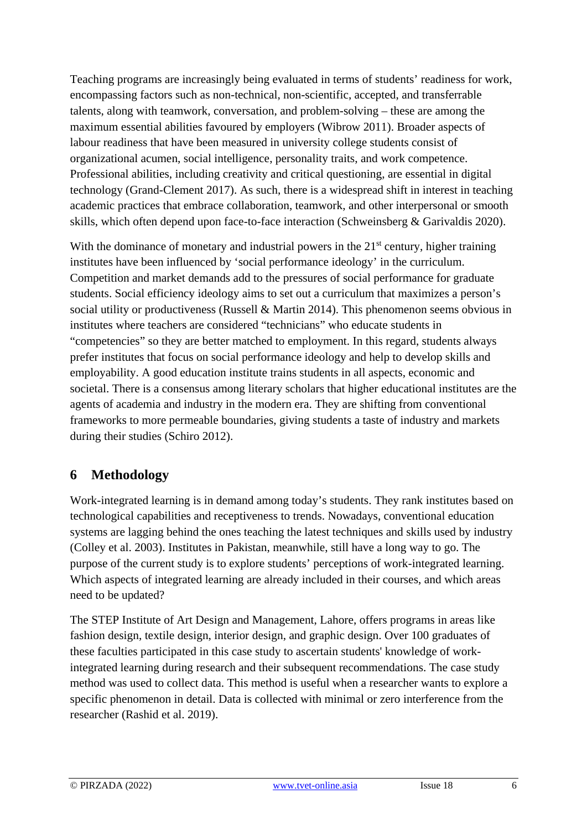Teaching programs are increasingly being evaluated in terms of students' readiness for work, encompassing factors such as non-technical, non-scientific, accepted, and transferrable talents, along with teamwork, conversation, and problem-solving – these are among the maximum essential abilities favoured by employers (Wibrow 2011). Broader aspects of labour readiness that have been measured in university college students consist of organizational acumen, social intelligence, personality traits, and work competence. Professional abilities, including creativity and critical questioning, are essential in digital technology (Grand-Clement 2017). As such, there is a widespread shift in interest in teaching academic practices that embrace collaboration, teamwork, and other interpersonal or smooth skills, which often depend upon face-to-face interaction (Schweinsberg & Garivaldis 2020).

With the dominance of monetary and industrial powers in the  $21<sup>st</sup>$  century, higher training institutes have been influenced by 'social performance ideology' in the curriculum. Competition and market demands add to the pressures of social performance for graduate students. Social efficiency ideology aims to set out a curriculum that maximizes a person's social utility or productiveness (Russell & Martin 2014). This phenomenon seems obvious in institutes where teachers are considered "technicians" who educate students in "competencies" so they are better matched to employment. In this regard, students always prefer institutes that focus on social performance ideology and help to develop skills and employability. A good education institute trains students in all aspects, economic and societal. There is a consensus among literary scholars that higher educational institutes are the agents of academia and industry in the modern era. They are shifting from conventional frameworks to more permeable boundaries, giving students a taste of industry and markets during their studies (Schiro 2012).

# **6 Methodology**

Work-integrated learning is in demand among today's students. They rank institutes based on technological capabilities and receptiveness to trends. Nowadays, conventional education systems are lagging behind the ones teaching the latest techniques and skills used by industry (Colley et al. 2003). Institutes in Pakistan, meanwhile, still have a long way to go. The purpose of the current study is to explore students' perceptions of work-integrated learning. Which aspects of integrated learning are already included in their courses, and which areas need to be updated?

The STEP Institute of Art Design and Management, Lahore, offers programs in areas like fashion design, textile design, interior design, and graphic design. Over 100 graduates of these faculties participated in this case study to ascertain students' knowledge of workintegrated learning during research and their subsequent recommendations. The case study method was used to collect data. This method is useful when a researcher wants to explore a specific phenomenon in detail. Data is collected with minimal or zero interference from the researcher (Rashid et al. 2019).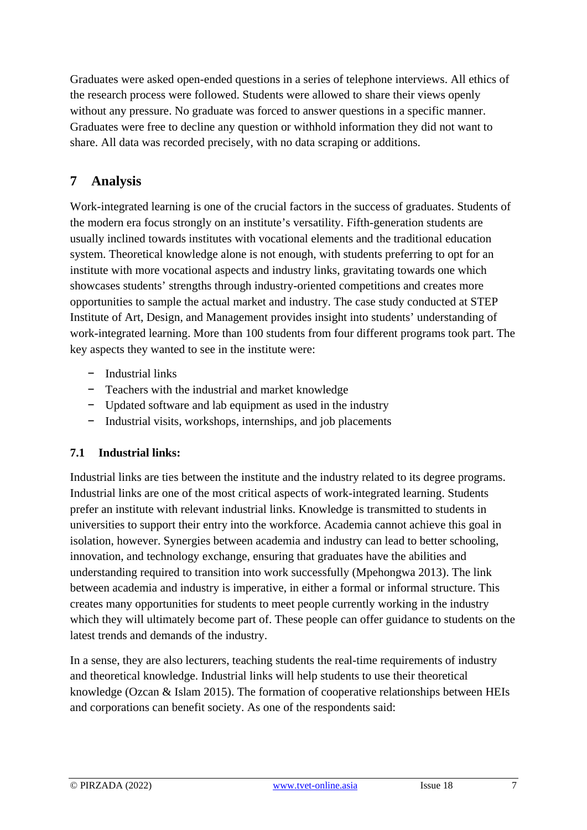Graduates were asked open-ended questions in a series of telephone interviews. All ethics of the research process were followed. Students were allowed to share their views openly without any pressure. No graduate was forced to answer questions in a specific manner. Graduates were free to decline any question or withhold information they did not want to share. All data was recorded precisely, with no data scraping or additions.

# **7 Analysis**

Work-integrated learning is one of the crucial factors in the success of graduates. Students of the modern era focus strongly on an institute's versatility. Fifth-generation students are usually inclined towards institutes with vocational elements and the traditional education system. Theoretical knowledge alone is not enough, with students preferring to opt for an institute with more vocational aspects and industry links, gravitating towards one which showcases students' strengths through industry-oriented competitions and creates more opportunities to sample the actual market and industry. The case study conducted at STEP Institute of Art, Design, and Management provides insight into students' understanding of work-integrated learning. More than 100 students from four different programs took part. The key aspects they wanted to see in the institute were:

- − Industrial links
- − Teachers with the industrial and market knowledge
- − Updated software and lab equipment as used in the industry
- − Industrial visits, workshops, internships, and job placements

## **7.1 Industrial links:**

Industrial links are ties between the institute and the industry related to its degree programs. Industrial links are one of the most critical aspects of work-integrated learning. Students prefer an institute with relevant industrial links. Knowledge is transmitted to students in universities to support their entry into the workforce. Academia cannot achieve this goal in isolation, however. Synergies between academia and industry can lead to better schooling, innovation, and technology exchange, ensuring that graduates have the abilities and understanding required to transition into work successfully (Mpehongwa 2013). The link between academia and industry is imperative, in either a formal or informal structure. This creates many opportunities for students to meet people currently working in the industry which they will ultimately become part of. These people can offer guidance to students on the latest trends and demands of the industry.

In a sense, they are also lecturers, teaching students the real-time requirements of industry and theoretical knowledge. Industrial links will help students to use their theoretical knowledge (Ozcan & Islam 2015). The formation of cooperative relationships between HEIs and corporations can benefit society. As one of the respondents said: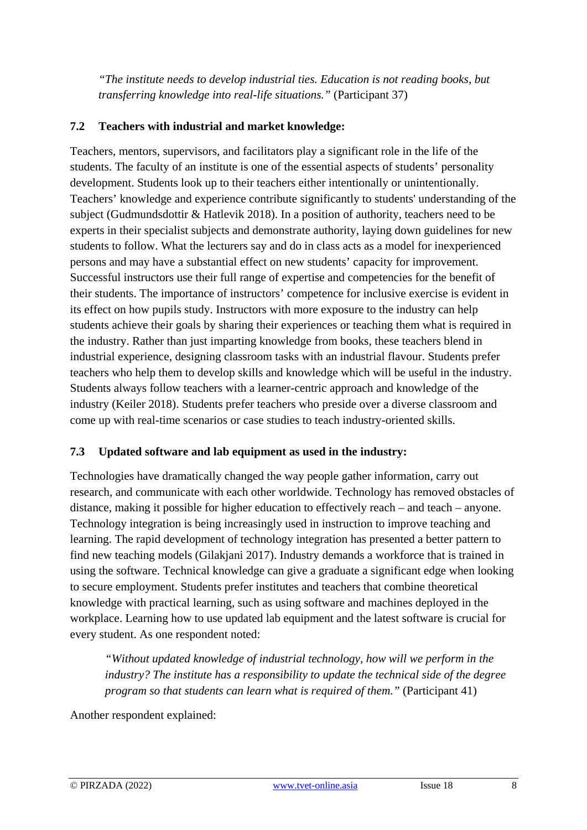*"The institute needs to develop industrial ties. Education is not reading books, but transferring knowledge into real-life situations."* (Participant 37)

#### **7.2 Teachers with industrial and market knowledge:**

Teachers, mentors, supervisors, and facilitators play a significant role in the life of the students. The faculty of an institute is one of the essential aspects of students' personality development. Students look up to their teachers either intentionally or unintentionally. Teachers' knowledge and experience contribute significantly to students' understanding of the subject (Gudmundsdottir & Hatlevik 2018). In a position of authority, teachers need to be experts in their specialist subjects and demonstrate authority, laying down guidelines for new students to follow. What the lecturers say and do in class acts as a model for inexperienced persons and may have a substantial effect on new students' capacity for improvement. Successful instructors use their full range of expertise and competencies for the benefit of their students. The importance of instructors' competence for inclusive exercise is evident in its effect on how pupils study. Instructors with more exposure to the industry can help students achieve their goals by sharing their experiences or teaching them what is required in the industry. Rather than just imparting knowledge from books, these teachers blend in industrial experience, designing classroom tasks with an industrial flavour. Students prefer teachers who help them to develop skills and knowledge which will be useful in the industry. Students always follow teachers with a learner-centric approach and knowledge of the industry (Keiler 2018). Students prefer teachers who preside over a diverse classroom and come up with real-time scenarios or case studies to teach industry-oriented skills.

#### **7.3 Updated software and lab equipment as used in the industry:**

Technologies have dramatically changed the way people gather information, carry out research, and communicate with each other worldwide. Technology has removed obstacles of distance, making it possible for higher education to effectively reach – and teach – anyone. Technology integration is being increasingly used in instruction to improve teaching and learning. The rapid development of technology integration has presented a better pattern to find new teaching models (Gilakjani 2017). Industry demands a workforce that is trained in using the software. Technical knowledge can give a graduate a significant edge when looking to secure employment. Students prefer institutes and teachers that combine theoretical knowledge with practical learning, such as using software and machines deployed in the workplace. Learning how to use updated lab equipment and the latest software is crucial for every student. As one respondent noted:

*"Without updated knowledge of industrial technology, how will we perform in the industry? The institute has a responsibility to update the technical side of the degree program so that students can learn what is required of them."* (Participant 41)

Another respondent explained: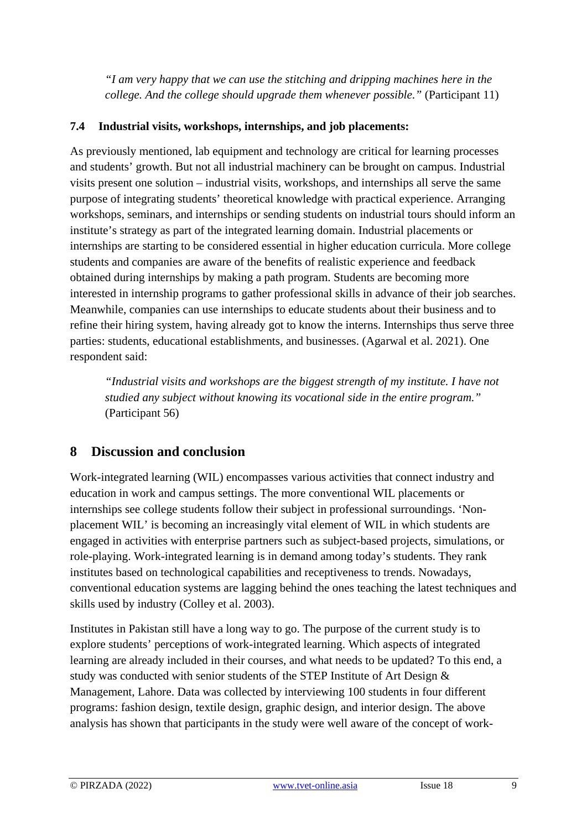*"I am very happy that we can use the stitching and dripping machines here in the college. And the college should upgrade them whenever possible."* (Participant 11)

#### **7.4 Industrial visits, workshops, internships, and job placements:**

As previously mentioned, lab equipment and technology are critical for learning processes and students' growth. But not all industrial machinery can be brought on campus. Industrial visits present one solution – industrial visits, workshops, and internships all serve the same purpose of integrating students' theoretical knowledge with practical experience. Arranging workshops, seminars, and internships or sending students on industrial tours should inform an institute's strategy as part of the integrated learning domain. Industrial placements or internships are starting to be considered essential in higher education curricula. More college students and companies are aware of the benefits of realistic experience and feedback obtained during internships by making a path program. Students are becoming more interested in internship programs to gather professional skills in advance of their job searches. Meanwhile, companies can use internships to educate students about their business and to refine their hiring system, having already got to know the interns. Internships thus serve three parties: students, educational establishments, and businesses. (Agarwal et al. 2021). One respondent said:

*"Industrial visits and workshops are the biggest strength of my institute. I have not studied any subject without knowing its vocational side in the entire program."* (Participant 56)

# **8 Discussion and conclusion**

Work-integrated learning (WIL) encompasses various activities that connect industry and education in work and campus settings. The more conventional WIL placements or internships see college students follow their subject in professional surroundings. 'Nonplacement WIL' is becoming an increasingly vital element of WIL in which students are engaged in activities with enterprise partners such as subject-based projects, simulations, or role-playing. Work-integrated learning is in demand among today's students. They rank institutes based on technological capabilities and receptiveness to trends. Nowadays, conventional education systems are lagging behind the ones teaching the latest techniques and skills used by industry (Colley et al. 2003).

Institutes in Pakistan still have a long way to go. The purpose of the current study is to explore students' perceptions of work-integrated learning. Which aspects of integrated learning are already included in their courses, and what needs to be updated? To this end, a study was conducted with senior students of the STEP Institute of Art Design & Management, Lahore. Data was collected by interviewing 100 students in four different programs: fashion design, textile design, graphic design, and interior design. The above analysis has shown that participants in the study were well aware of the concept of work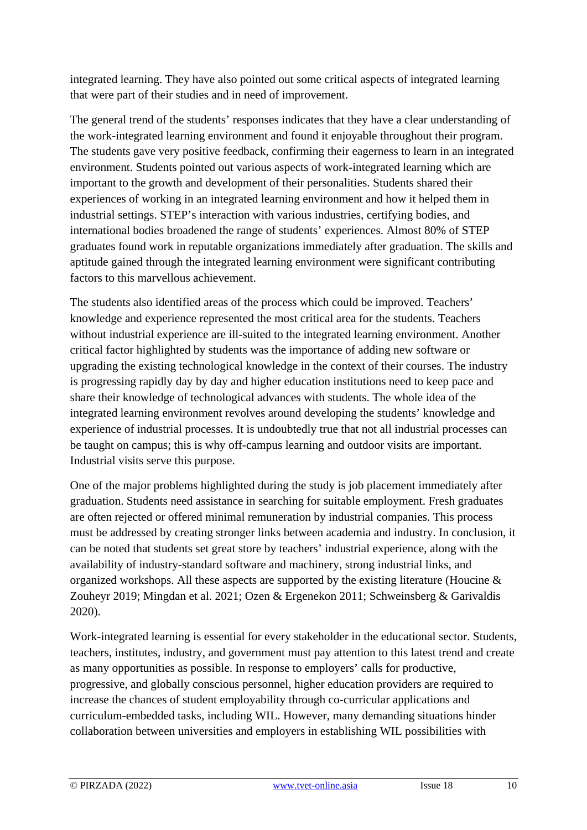integrated learning. They have also pointed out some critical aspects of integrated learning that were part of their studies and in need of improvement.

The general trend of the students' responses indicates that they have a clear understanding of the work-integrated learning environment and found it enjoyable throughout their program. The students gave very positive feedback, confirming their eagerness to learn in an integrated environment. Students pointed out various aspects of work-integrated learning which are important to the growth and development of their personalities. Students shared their experiences of working in an integrated learning environment and how it helped them in industrial settings. STEP's interaction with various industries, certifying bodies, and international bodies broadened the range of students' experiences. Almost 80% of STEP graduates found work in reputable organizations immediately after graduation. The skills and aptitude gained through the integrated learning environment were significant contributing factors to this marvellous achievement.

The students also identified areas of the process which could be improved. Teachers' knowledge and experience represented the most critical area for the students. Teachers without industrial experience are ill-suited to the integrated learning environment. Another critical factor highlighted by students was the importance of adding new software or upgrading the existing technological knowledge in the context of their courses. The industry is progressing rapidly day by day and higher education institutions need to keep pace and share their knowledge of technological advances with students. The whole idea of the integrated learning environment revolves around developing the students' knowledge and experience of industrial processes. It is undoubtedly true that not all industrial processes can be taught on campus; this is why off-campus learning and outdoor visits are important. Industrial visits serve this purpose.

One of the major problems highlighted during the study is job placement immediately after graduation. Students need assistance in searching for suitable employment. Fresh graduates are often rejected or offered minimal remuneration by industrial companies. This process must be addressed by creating stronger links between academia and industry. In conclusion, it can be noted that students set great store by teachers' industrial experience, along with the availability of industry-standard software and machinery, strong industrial links, and organized workshops. All these aspects are supported by the existing literature (Houcine & Zouheyr 2019; Mingdan et al. 2021; Ozen & Ergenekon 2011; Schweinsberg & Garivaldis 2020).

Work-integrated learning is essential for every stakeholder in the educational sector. Students, teachers, institutes, industry, and government must pay attention to this latest trend and create as many opportunities as possible. In response to employers' calls for productive, progressive, and globally conscious personnel, higher education providers are required to increase the chances of student employability through co-curricular applications and curriculum-embedded tasks, including WIL. However, many demanding situations hinder collaboration between universities and employers in establishing WIL possibilities with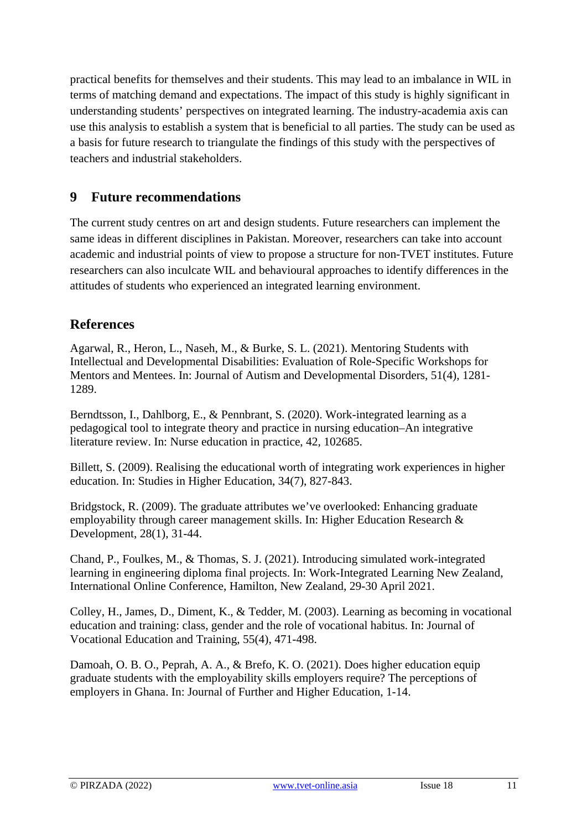practical benefits for themselves and their students. This may lead to an imbalance in WIL in terms of matching demand and expectations. The impact of this study is highly significant in understanding students' perspectives on integrated learning. The industry-academia axis can use this analysis to establish a system that is beneficial to all parties. The study can be used as a basis for future research to triangulate the findings of this study with the perspectives of teachers and industrial stakeholders.

## **9 Future recommendations**

The current study centres on art and design students. Future researchers can implement the same ideas in different disciplines in Pakistan. Moreover, researchers can take into account academic and industrial points of view to propose a structure for non-TVET institutes. Future researchers can also inculcate WIL and behavioural approaches to identify differences in the attitudes of students who experienced an integrated learning environment.

## **References**

Agarwal, R., Heron, L., Naseh, M., & Burke, S. L. (2021). Mentoring Students with Intellectual and Developmental Disabilities: Evaluation of Role-Specific Workshops for Mentors and Mentees. In: Journal of Autism and Developmental Disorders, 51(4), 1281- 1289.

Berndtsson, I., Dahlborg, E., & Pennbrant, S. (2020). Work-integrated learning as a pedagogical tool to integrate theory and practice in nursing education–An integrative literature review. In: Nurse education in practice, 42, 102685.

Billett, S. (2009). Realising the educational worth of integrating work experiences in higher education. In: Studies in Higher Education, 34(7), 827-843.

Bridgstock, R. (2009). The graduate attributes we've overlooked: Enhancing graduate employability through career management skills. In: Higher Education Research & Development, 28(1), 31-44.

Chand, P., Foulkes, M., & Thomas, S. J. (2021). Introducing simulated work-integrated learning in engineering diploma final projects. In: Work-Integrated Learning New Zealand, International Online Conference, Hamilton, New Zealand, 29-30 April 2021.

Colley, H., James, D., Diment, K., & Tedder, M. (2003). Learning as becoming in vocational education and training: class, gender and the role of vocational habitus. In: Journal of Vocational Education and Training, 55(4), 471-498.

Damoah, O. B. O., Peprah, A. A., & Brefo, K. O. (2021). Does higher education equip graduate students with the employability skills employers require? The perceptions of employers in Ghana. In: Journal of Further and Higher Education, 1-14.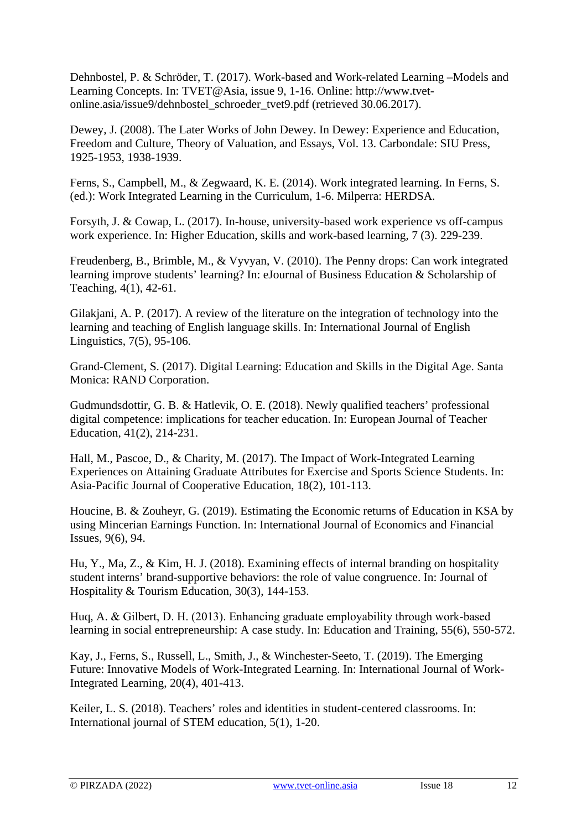Dehnbostel, P. & Schröder, T. (2017). Work-based and Work-related Learning –Models and Learning Concepts. In: TVET@Asia, issue 9, 1-16. Online: http://www.tvetonline.asia/issue9/dehnbostel\_schroeder\_tvet9.pdf (retrieved 30.06.2017).

Dewey, J. (2008). The Later Works of John Dewey. In Dewey: Experience and Education, Freedom and Culture, Theory of Valuation, and Essays, Vol. 13. Carbondale: SIU Press, 1925-1953, 1938-1939.

Ferns, S., Campbell, M., & Zegwaard, K. E. (2014). Work integrated learning. In Ferns, S. (ed.): Work Integrated Learning in the Curriculum, 1-6. Milperra: HERDSA.

Forsyth, J. & Cowap, L. (2017). In-house, university-based work experience vs off-campus work experience. In: Higher Education, skills and work-based learning, 7 (3). 229-239.

Freudenberg, B., Brimble, M., & Vyvyan, V. (2010). The Penny drops: Can work integrated learning improve students' learning? In: eJournal of Business Education & Scholarship of Teaching, 4(1), 42-61.

Gilakjani, A. P. (2017). A review of the literature on the integration of technology into the learning and teaching of English language skills. In: International Journal of English Linguistics, 7(5), 95-106.

Grand-Clement, S. (2017). Digital Learning: Education and Skills in the Digital Age. Santa Monica: RAND Corporation.

Gudmundsdottir, G. B. & Hatlevik, O. E. (2018). Newly qualified teachers' professional digital competence: implications for teacher education. In: European Journal of Teacher Education, 41(2), 214-231.

Hall, M., Pascoe, D., & Charity, M. (2017). The Impact of Work-Integrated Learning Experiences on Attaining Graduate Attributes for Exercise and Sports Science Students. In: Asia-Pacific Journal of Cooperative Education, 18(2), 101-113.

Houcine, B. & Zouheyr, G. (2019). Estimating the Economic returns of Education in KSA by using Mincerian Earnings Function. In: International Journal of Economics and Financial Issues, 9(6), 94.

Hu, Y., Ma, Z., & Kim, H. J. (2018). Examining effects of internal branding on hospitality student interns' brand-supportive behaviors: the role of value congruence. In: Journal of Hospitality & Tourism Education, 30(3), 144-153.

Huq, A. & Gilbert, D. H. (2013). Enhancing graduate employability through work‐based learning in social entrepreneurship: A case study. In: Education and Training, 55(6), 550-572.

Kay, J., Ferns, S., Russell, L., Smith, J., & Winchester-Seeto, T. (2019). The Emerging Future: Innovative Models of Work-Integrated Learning. In: International Journal of Work-Integrated Learning, 20(4), 401-413.

Keiler, L. S. (2018). Teachers' roles and identities in student-centered classrooms. In: International journal of STEM education, 5(1), 1-20.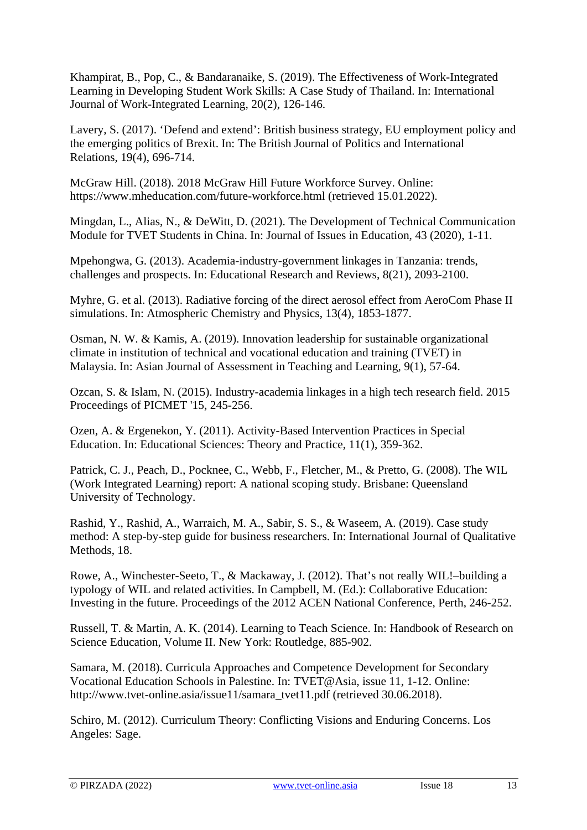Khampirat, B., Pop, C., & Bandaranaike, S. (2019). The Effectiveness of Work-Integrated Learning in Developing Student Work Skills: A Case Study of Thailand. In: International Journal of Work-Integrated Learning, 20(2), 126-146.

Lavery, S. (2017). 'Defend and extend': British business strategy, EU employment policy and the emerging politics of Brexit. In: The British Journal of Politics and International Relations, 19(4), 696-714.

McGraw Hill. (2018). 2018 McGraw Hill Future Workforce Survey. Online: https://www.mheducation.com/future-workforce.html (retrieved 15.01.2022).

Mingdan, L., Alias, N., & DeWitt, D. (2021). The Development of Technical Communication Module for TVET Students in China. In: Journal of Issues in Education, 43 (2020), 1-11.

Mpehongwa, G. (2013). Academia-industry-government linkages in Tanzania: trends, challenges and prospects. In: Educational Research and Reviews, 8(21), 2093-2100.

Myhre, G. et al. (2013). Radiative forcing of the direct aerosol effect from AeroCom Phase II simulations. In: Atmospheric Chemistry and Physics, 13(4), 1853-1877.

Osman, N. W. & Kamis, A. (2019). Innovation leadership for sustainable organizational climate in institution of technical and vocational education and training (TVET) in Malaysia. In: Asian Journal of Assessment in Teaching and Learning, 9(1), 57-64.

Ozcan, S. & Islam, N. (2015). Industry-academia linkages in a high tech research field. 2015 Proceedings of PICMET '15, 245-256.

Ozen, A. & Ergenekon, Y. (2011). Activity-Based Intervention Practices in Special Education. In: Educational Sciences: Theory and Practice, 11(1), 359-362.

Patrick, C. J., Peach, D., Pocknee, C., Webb, F., Fletcher, M., & Pretto, G. (2008). The WIL (Work Integrated Learning) report: A national scoping study. Brisbane: Queensland University of Technology.

Rashid, Y., Rashid, A., Warraich, M. A., Sabir, S. S., & Waseem, A. (2019). Case study method: A step-by-step guide for business researchers. In: International Journal of Qualitative Methods, 18.

Rowe, A., Winchester-Seeto, T., & Mackaway, J. (2012). That's not really WIL!–building a typology of WIL and related activities. In Campbell, M. (Ed.): Collaborative Education: Investing in the future. Proceedings of the 2012 ACEN National Conference, Perth, 246-252.

Russell, T. & Martin, A. K. (2014). Learning to Teach Science. In: Handbook of Research on Science Education, Volume II. New York: Routledge, 885-902.

Samara, M. (2018). Curricula Approaches and Competence Development for Secondary Vocational Education Schools in Palestine. In: TVET@Asia, issue 11, 1-12. Online: http://www.tvet-online.asia/issue11/samara\_tvet11.pdf (retrieved 30.06.2018).

Schiro, M. (2012). Curriculum Theory: Conflicting Visions and Enduring Concerns. Los Angeles: Sage.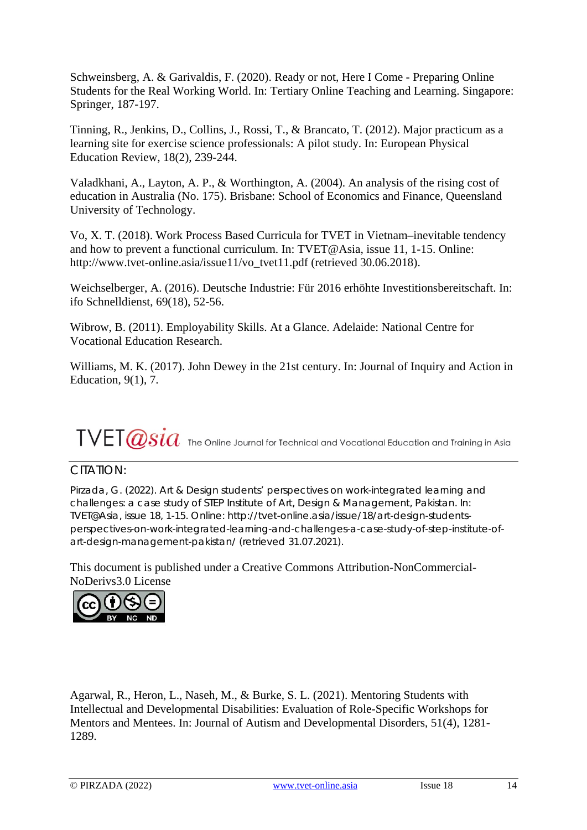Schweinsberg, A. & Garivaldis, F. (2020). Ready or not, Here I Come - Preparing Online Students for the Real Working World. In: Tertiary Online Teaching and Learning. Singapore: Springer, 187-197.

Tinning, R., Jenkins, D., Collins, J., Rossi, T., & Brancato, T. (2012). Major practicum as a learning site for exercise science professionals: A pilot study. In: European Physical Education Review, 18(2), 239-244.

Valadkhani, A., Layton, A. P., & Worthington, A. (2004). An analysis of the rising cost of education in Australia (No. 175). Brisbane: School of Economics and Finance, Queensland University of Technology.

Vo, X. T. (2018). Work Process Based Curricula for TVET in Vietnam–inevitable tendency and how to prevent a functional curriculum. In: TVET@Asia, issue 11, 1-15. Online: http://www.tvet-online.asia/issue11/vo\_tvet11.pdf (retrieved 30.06.2018).

Weichselberger, A. (2016). Deutsche Industrie: Für 2016 erhöhte Investitionsbereitschaft. In: ifo Schnelldienst, 69(18), 52-56.

Wibrow, B. (2011). Employability Skills. At a Glance. Adelaide: National Centre for Vocational Education Research.

Williams, M. K. (2017). John Dewey in the 21st century. In: Journal of Inquiry and Action in Education, 9(1), 7.

# $\text{TVET}\hspace{0.25ex} \text{ex} \text{size}$  The Online Journal for Technical and Vocational Education and Training in Asia

#### CITATION:

Pirzada, G. (2022). Art & Design students' perspectives on work-integrated learning and challenges: a case study of STEP Institute of Art, Design & Management, Pakistan. In: TVET@Asia, issue 18, 1-15. Online: http://tvet-online.asia/issue/18/art-design-studentsperspectives-on-work-integrated-learning-and-challenges-a-case-study-of-step-institute-ofart-design-management-pakistan/ (retrieved 31.07.2021).

This document is published under a Creative Commons Attribution-NonCommercial-NoDerivs3.0 License



Agarwal, R., Heron, L., Naseh, M., & Burke, S. L. (2021). Mentoring Students with Intellectual and Developmental Disabilities: Evaluation of Role-Specific Workshops for Mentors and Mentees. In: Journal of Autism and Developmental Disorders, 51(4), 1281- 1289.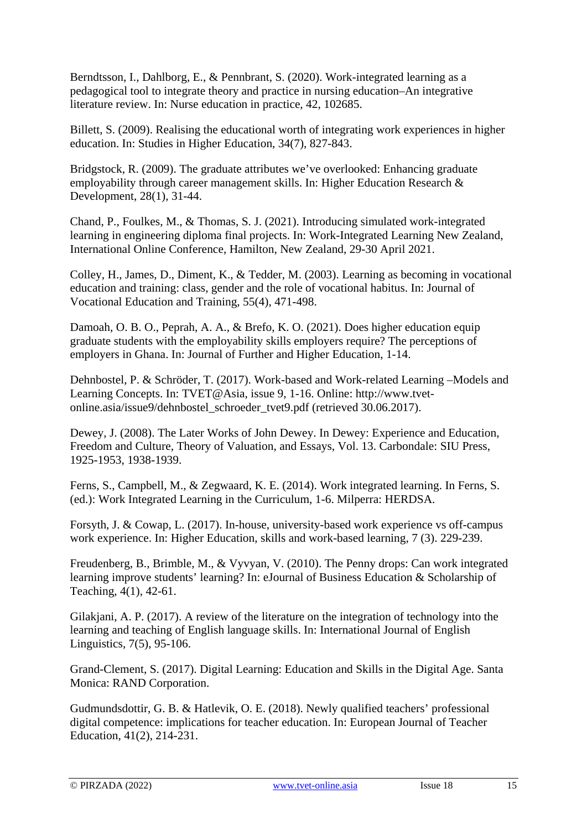Berndtsson, I., Dahlborg, E., & Pennbrant, S. (2020). Work-integrated learning as a pedagogical tool to integrate theory and practice in nursing education–An integrative literature review. In: Nurse education in practice, 42, 102685.

Billett, S. (2009). Realising the educational worth of integrating work experiences in higher education. In: Studies in Higher Education, 34(7), 827-843.

Bridgstock, R. (2009). The graduate attributes we've overlooked: Enhancing graduate employability through career management skills. In: Higher Education Research & Development, 28(1), 31-44.

Chand, P., Foulkes, M., & Thomas, S. J. (2021). Introducing simulated work-integrated learning in engineering diploma final projects. In: Work-Integrated Learning New Zealand, International Online Conference, Hamilton, New Zealand, 29-30 April 2021.

Colley, H., James, D., Diment, K., & Tedder, M. (2003). Learning as becoming in vocational education and training: class, gender and the role of vocational habitus. In: Journal of Vocational Education and Training, 55(4), 471-498.

Damoah, O. B. O., Peprah, A. A., & Brefo, K. O. (2021). Does higher education equip graduate students with the employability skills employers require? The perceptions of employers in Ghana. In: Journal of Further and Higher Education, 1-14.

Dehnbostel, P. & Schröder, T. (2017). Work-based and Work-related Learning –Models and Learning Concepts. In: TVET@Asia, issue 9, 1-16. Online: http://www.tvetonline.asia/issue9/dehnbostel\_schroeder\_tvet9.pdf (retrieved 30.06.2017).

Dewey, J. (2008). The Later Works of John Dewey. In Dewey: Experience and Education, Freedom and Culture, Theory of Valuation, and Essays, Vol. 13. Carbondale: SIU Press, 1925-1953, 1938-1939.

Ferns, S., Campbell, M., & Zegwaard, K. E. (2014). Work integrated learning. In Ferns, S. (ed.): Work Integrated Learning in the Curriculum, 1-6. Milperra: HERDSA.

Forsyth, J. & Cowap, L. (2017). In-house, university-based work experience vs off-campus work experience. In: Higher Education, skills and work-based learning, 7 (3). 229-239.

Freudenberg, B., Brimble, M., & Vyvyan, V. (2010). The Penny drops: Can work integrated learning improve students' learning? In: eJournal of Business Education & Scholarship of Teaching, 4(1), 42-61.

Gilakjani, A. P. (2017). A review of the literature on the integration of technology into the learning and teaching of English language skills. In: International Journal of English Linguistics, 7(5), 95-106.

Grand-Clement, S. (2017). Digital Learning: Education and Skills in the Digital Age. Santa Monica: RAND Corporation.

Gudmundsdottir, G. B. & Hatlevik, O. E. (2018). Newly qualified teachers' professional digital competence: implications for teacher education. In: European Journal of Teacher Education, 41(2), 214-231.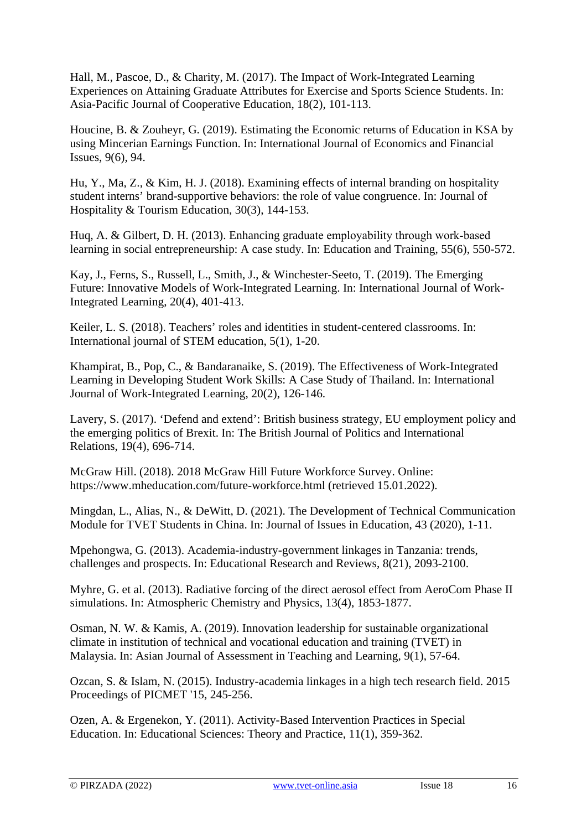Hall, M., Pascoe, D., & Charity, M. (2017). The Impact of Work-Integrated Learning Experiences on Attaining Graduate Attributes for Exercise and Sports Science Students. In: Asia-Pacific Journal of Cooperative Education, 18(2), 101-113.

Houcine, B. & Zouheyr, G. (2019). Estimating the Economic returns of Education in KSA by using Mincerian Earnings Function. In: International Journal of Economics and Financial Issues, 9(6), 94.

Hu, Y., Ma, Z., & Kim, H. J. (2018). Examining effects of internal branding on hospitality student interns' brand-supportive behaviors: the role of value congruence. In: Journal of Hospitality & Tourism Education, 30(3), 144-153.

Huq, A. & Gilbert, D. H. (2013). Enhancing graduate employability through work‐based learning in social entrepreneurship: A case study. In: Education and Training, 55(6), 550-572.

Kay, J., Ferns, S., Russell, L., Smith, J., & Winchester-Seeto, T. (2019). The Emerging Future: Innovative Models of Work-Integrated Learning. In: International Journal of Work-Integrated Learning, 20(4), 401-413.

Keiler, L. S. (2018). Teachers' roles and identities in student-centered classrooms. In: International journal of STEM education, 5(1), 1-20.

Khampirat, B., Pop, C., & Bandaranaike, S. (2019). The Effectiveness of Work-Integrated Learning in Developing Student Work Skills: A Case Study of Thailand. In: International Journal of Work-Integrated Learning, 20(2), 126-146.

Lavery, S. (2017). 'Defend and extend': British business strategy, EU employment policy and the emerging politics of Brexit. In: The British Journal of Politics and International Relations, 19(4), 696-714.

McGraw Hill. (2018). 2018 McGraw Hill Future Workforce Survey. Online: https://www.mheducation.com/future-workforce.html (retrieved 15.01.2022).

Mingdan, L., Alias, N., & DeWitt, D. (2021). The Development of Technical Communication Module for TVET Students in China. In: Journal of Issues in Education, 43 (2020), 1-11.

Mpehongwa, G. (2013). Academia-industry-government linkages in Tanzania: trends, challenges and prospects. In: Educational Research and Reviews, 8(21), 2093-2100.

Myhre, G. et al. (2013). Radiative forcing of the direct aerosol effect from AeroCom Phase II simulations. In: Atmospheric Chemistry and Physics, 13(4), 1853-1877.

Osman, N. W. & Kamis, A. (2019). Innovation leadership for sustainable organizational climate in institution of technical and vocational education and training (TVET) in Malaysia. In: Asian Journal of Assessment in Teaching and Learning, 9(1), 57-64.

Ozcan, S. & Islam, N. (2015). Industry-academia linkages in a high tech research field. 2015 Proceedings of PICMET '15, 245-256.

Ozen, A. & Ergenekon, Y. (2011). Activity-Based Intervention Practices in Special Education. In: Educational Sciences: Theory and Practice, 11(1), 359-362.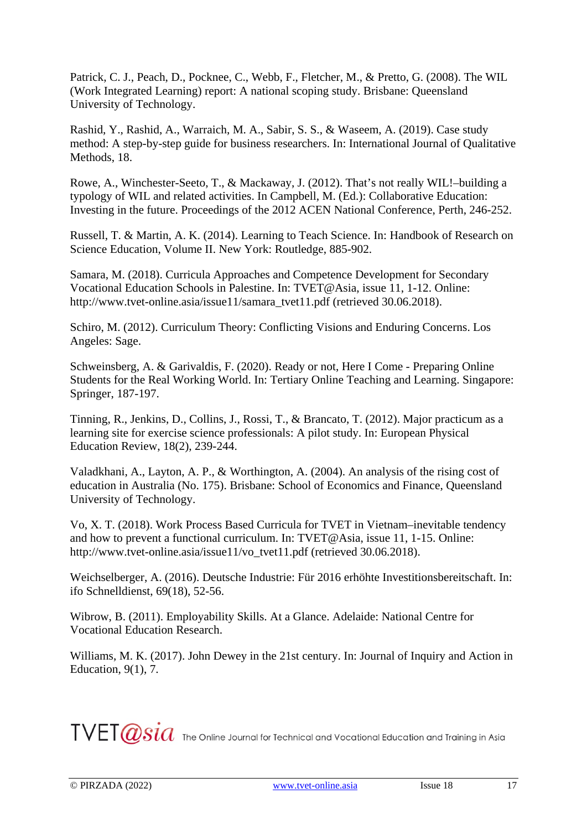Patrick, C. J., Peach, D., Pocknee, C., Webb, F., Fletcher, M., & Pretto, G. (2008). The WIL (Work Integrated Learning) report: A national scoping study. Brisbane: Queensland University of Technology.

Rashid, Y., Rashid, A., Warraich, M. A., Sabir, S. S., & Waseem, A. (2019). Case study method: A step-by-step guide for business researchers. In: International Journal of Qualitative Methods, 18.

Rowe, A., Winchester-Seeto, T., & Mackaway, J. (2012). That's not really WIL!–building a typology of WIL and related activities. In Campbell, M. (Ed.): Collaborative Education: Investing in the future. Proceedings of the 2012 ACEN National Conference, Perth, 246-252.

Russell, T. & Martin, A. K. (2014). Learning to Teach Science. In: Handbook of Research on Science Education, Volume II. New York: Routledge, 885-902.

Samara, M. (2018). Curricula Approaches and Competence Development for Secondary Vocational Education Schools in Palestine. In: TVET@Asia, issue 11, 1-12. Online: http://www.tvet-online.asia/issue11/samara\_tvet11.pdf (retrieved 30.06.2018).

Schiro, M. (2012). Curriculum Theory: Conflicting Visions and Enduring Concerns. Los Angeles: Sage.

Schweinsberg, A. & Garivaldis, F. (2020). Ready or not, Here I Come - Preparing Online Students for the Real Working World. In: Tertiary Online Teaching and Learning. Singapore: Springer, 187-197.

Tinning, R., Jenkins, D., Collins, J., Rossi, T., & Brancato, T. (2012). Major practicum as a learning site for exercise science professionals: A pilot study. In: European Physical Education Review, 18(2), 239-244.

Valadkhani, A., Layton, A. P., & Worthington, A. (2004). An analysis of the rising cost of education in Australia (No. 175). Brisbane: School of Economics and Finance, Queensland University of Technology.

Vo, X. T. (2018). Work Process Based Curricula for TVET in Vietnam–inevitable tendency and how to prevent a functional curriculum. In: TVET@Asia, issue 11, 1-15. Online: http://www.tvet-online.asia/issue11/vo\_tvet11.pdf (retrieved 30.06.2018).

Weichselberger, A. (2016). Deutsche Industrie: Für 2016 erhöhte Investitionsbereitschaft. In: ifo Schnelldienst, 69(18), 52-56.

Wibrow, B. (2011). Employability Skills. At a Glance. Adelaide: National Centre for Vocational Education Research.

Williams, M. K. (2017). John Dewey in the 21st century. In: Journal of Inquiry and Action in Education, 9(1), 7.